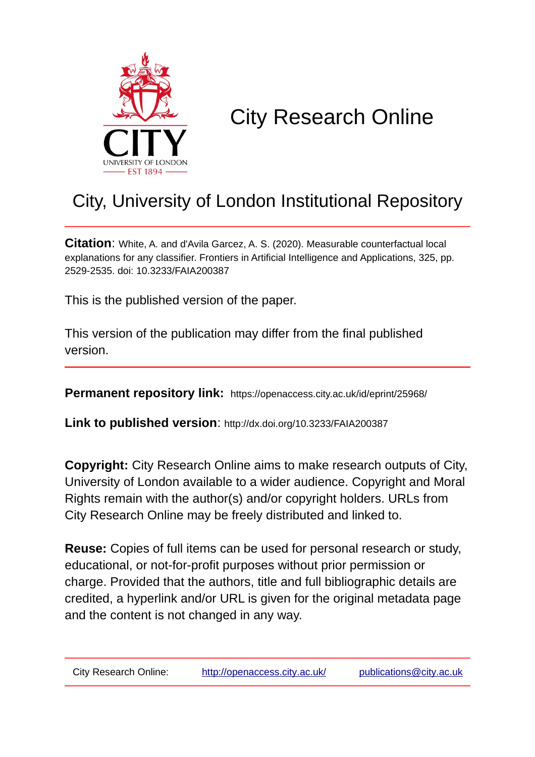

# City Research Online

## City, University of London Institutional Repository

**Citation**: White, A. and d'Avila Garcez, A. S. (2020). Measurable counterfactual local explanations for any classifier. Frontiers in Artificial Intelligence and Applications, 325, pp. 2529-2535. doi: 10.3233/FAIA200387

This is the published version of the paper.

This version of the publication may differ from the final published version.

**Permanent repository link:** https://openaccess.city.ac.uk/id/eprint/25968/

**Link to published version**: http://dx.doi.org/10.3233/FAIA200387

**Copyright:** City Research Online aims to make research outputs of City, University of London available to a wider audience. Copyright and Moral Rights remain with the author(s) and/or copyright holders. URLs from City Research Online may be freely distributed and linked to.

**Reuse:** Copies of full items can be used for personal research or study, educational, or not-for-profit purposes without prior permission or charge. Provided that the authors, title and full bibliographic details are credited, a hyperlink and/or URL is given for the original metadata page and the content is not changed in any way.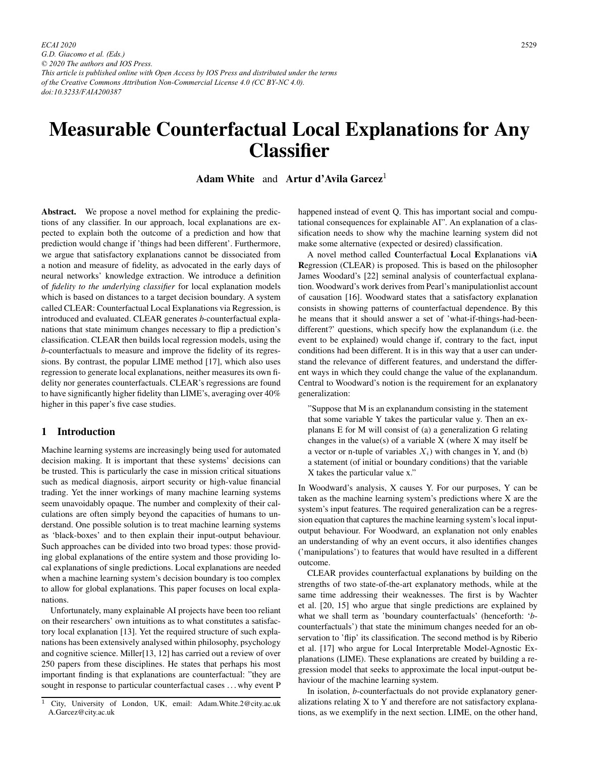*ECAI 2020 G.D. Giacomo et al. (Eds.) © 2020 The authors and IOS Press. This article is published online with Open Access by IOS Press and distributed under the terms of the Creative Commons Attribution Non-Commercial License 4.0 (CC BY-NC 4.0). doi:10.3233/FAIA200387*

### Measurable Counterfactual Local Explanations for Any **Classifier**

#### Adam White and Artur d'Avila Garcez<sup>1</sup>

Abstract. We propose a novel method for explaining the predictions of any classifier. In our approach, local explanations are expected to explain both the outcome of a prediction and how that prediction would change if 'things had been different'. Furthermore, we argue that satisfactory explanations cannot be dissociated from a notion and measure of fidelity, as advocated in the early days of neural networks' knowledge extraction. We introduce a definition of *fidelity to the underlying classifier* for local explanation models which is based on distances to a target decision boundary. A system called CLEAR: Counterfactual Local Explanations via Regression, is introduced and evaluated. CLEAR generates *b*-counterfactual explanations that state minimum changes necessary to flip a prediction's classification. CLEAR then builds local regression models, using the *b*-counterfactuals to measure and improve the fidelity of its regressions. By contrast, the popular LIME method [17], which also uses regression to generate local explanations, neither measures its own fidelity nor generates counterfactuals. CLEAR's regressions are found to have significantly higher fidelity than LIME's, averaging over 40% higher in this paper's five case studies.

#### 1 Introduction

Machine learning systems are increasingly being used for automated decision making. It is important that these systems' decisions can be trusted. This is particularly the case in mission critical situations such as medical diagnosis, airport security or high-value financial trading. Yet the inner workings of many machine learning systems seem unavoidably opaque. The number and complexity of their calculations are often simply beyond the capacities of humans to understand. One possible solution is to treat machine learning systems as 'black-boxes' and to then explain their input-output behaviour. Such approaches can be divided into two broad types: those providing global explanations of the entire system and those providing local explanations of single predictions. Local explanations are needed when a machine learning system's decision boundary is too complex to allow for global explanations. This paper focuses on local explanations.

Unfortunately, many explainable AI projects have been too reliant on their researchers' own intuitions as to what constitutes a satisfactory local explanation [13]. Yet the required structure of such explanations has been extensively analysed within philosophy, psychology and cognitive science. Miller[13, 12] has carried out a review of over 250 papers from these disciplines. He states that perhaps his most important finding is that explanations are counterfactual: "they are sought in response to particular counterfactual cases . . . why event P happened instead of event Q. This has important social and computational consequences for explainable AI". An explanation of a classification needs to show why the machine learning system did not make some alternative (expected or desired) classification.

A novel method called Counterfactual Local Explanations viA Regression (CLEAR) is proposed. This is based on the philosopher James Woodard's [22] seminal analysis of counterfactual explanation. Woodward's work derives from Pearl's manipulationlist account of causation [16]. Woodward states that a satisfactory explanation consists in showing patterns of counterfactual dependence. By this he means that it should answer a set of 'what-if-things-had-beendifferent?' questions, which specify how the explanandum (i.e. the event to be explained) would change if, contrary to the fact, input conditions had been different. It is in this way that a user can understand the relevance of different features, and understand the different ways in which they could change the value of the explanandum. Central to Woodward's notion is the requirement for an explanatory generalization:

"Suppose that M is an explanandum consisting in the statement that some variable Y takes the particular value y. Then an explanans E for M will consist of (a) a generalization G relating changes in the value(s) of a variable  $X$  (where  $X$  may itself be a vector or n-tuple of variables  $X_i$ ) with changes in Y, and (b) a statement (of initial or boundary conditions) that the variable X takes the particular value x."

In Woodward's analysis, X causes Y. For our purposes, Y can be taken as the machine learning system's predictions where X are the system's input features. The required generalization can be a regression equation that captures the machine learning system's local inputoutput behaviour. For Woodward, an explanation not only enables an understanding of why an event occurs, it also identifies changes ('manipulations') to features that would have resulted in a different outcome.

CLEAR provides counterfactual explanations by building on the strengths of two state-of-the-art explanatory methods, while at the same time addressing their weaknesses. The first is by Wachter et al. [20, 15] who argue that single predictions are explained by what we shall term as 'boundary counterfactuals' (henceforth: '*b*counterfactuals') that state the minimum changes needed for an observation to 'flip' its classification. The second method is by Riberio et al. [17] who argue for Local Interpretable Model-Agnostic Explanations (LIME). These explanations are created by building a regression model that seeks to approximate the local input-output behaviour of the machine learning system.

In isolation, *b*-counterfactuals do not provide explanatory generalizations relating X to Y and therefore are not satisfactory explanations, as we exemplify in the next section. LIME, on the other hand,

<sup>1</sup> City, University of London, UK, email: Adam.White.2@city.ac.uk A.Garcez@city.ac.uk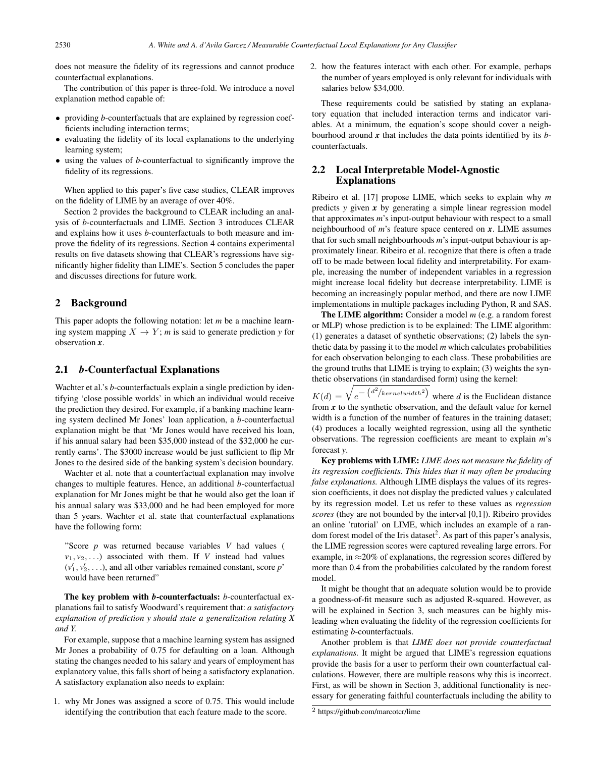does not measure the fidelity of its regressions and cannot produce counterfactual explanations.

The contribution of this paper is three-fold. We introduce a novel explanation method capable of:

- providing *b*-counterfactuals that are explained by regression coefficients including interaction terms;
- evaluating the fidelity of its local explanations to the underlying learning system;
- using the values of *b*-counterfactual to significantly improve the fidelity of its regressions.

When applied to this paper's five case studies, CLEAR improves on the fidelity of LIME by an average of over 40%.

Section 2 provides the background to CLEAR including an analysis of *b*-counterfactuals and LIME. Section 3 introduces CLEAR and explains how it uses *b*-counterfactuals to both measure and improve the fidelity of its regressions. Section 4 contains experimental results on five datasets showing that CLEAR's regressions have significantly higher fidelity than LIME's. Section 5 concludes the paper and discusses directions for future work.

#### 2 Background

This paper adopts the following notation: let *m* be a machine learning system mapping  $X \to Y$ ; *m* is said to generate prediction *y* for observation *x*.

#### 2.1 *b*-Counterfactual Explanations

Wachter et al.'s *b*-counterfactuals explain a single prediction by identifying 'close possible worlds' in which an individual would receive the prediction they desired. For example, if a banking machine learning system declined Mr Jones' loan application, a *b*-counterfactual explanation might be that 'Mr Jones would have received his loan, if his annual salary had been \$35,000 instead of the \$32,000 he currently earns'. The \$3000 increase would be just sufficient to flip Mr Jones to the desired side of the banking system's decision boundary.

Wachter et al. note that a counterfactual explanation may involve changes to multiple features. Hence, an additional *b*-counterfactual explanation for Mr Jones might be that he would also get the loan if his annual salary was \$33,000 and he had been employed for more than 5 years. Wachter et al. state that counterfactual explanations have the following form:

"Score *p* was returned because variables *V* had values (  $v_1, v_2, \ldots$ ) associated with them. If *V* instead had values  $(v'_1, v'_2, \ldots)$ , and all other variables remained constant, score *p*' would have been returned"

The key problem with *b*-counterfactuals: *b*-counterfactual explanations fail to satisfy Woodward's requirement that: *a satisfactory explanation of prediction y should state a generalization relating X and Y.*

For example, suppose that a machine learning system has assigned Mr Jones a probability of 0.75 for defaulting on a loan. Although stating the changes needed to his salary and years of employment has explanatory value, this falls short of being a satisfactory explanation. A satisfactory explanation also needs to explain:

1. why Mr Jones was assigned a score of 0.75. This would include identifying the contribution that each feature made to the score.

2. how the features interact with each other. For example, perhaps the number of years employed is only relevant for individuals with salaries below \$34,000.

These requirements could be satisfied by stating an explanatory equation that included interaction terms and indicator variables. At a minimum, the equation's scope should cover a neighbourhood around *x* that includes the data points identified by its *b*counterfactuals.

#### 2.2 Local Interpretable Model-Agnostic Explanations

Ribeiro et al. [17] propose LIME, which seeks to explain why *m* predicts *y* given *x* by generating a simple linear regression model that approximates *m*'s input-output behaviour with respect to a small neighbourhood of *m*'s feature space centered on *x*. LIME assumes that for such small neighbourhoods *m*'s input-output behaviour is approximately linear. Ribeiro et al. recognize that there is often a trade off to be made between local fidelity and interpretability. For example, increasing the number of independent variables in a regression might increase local fidelity but decrease interpretability. LIME is becoming an increasingly popular method, and there are now LIME implementations in multiple packages including Python, R and SAS.

The LIME algorithm: Consider a model *m* (e.g. a random forest or MLP) whose prediction is to be explained: The LIME algorithm: (1) generates a dataset of synthetic observations; (2) labels the synthetic data by passing it to the model *m* which calculates probabilities for each observation belonging to each class. These probabilities are the ground truths that LIME is trying to explain; (3) weights the synthetic observations (in standardised form) using the kernel:

 $K(d) = \sqrt{e^{-\left(d^2\left/ ker\left(\frac{1}{d}\right)^2\right)}}$  where *d* is the Euclidean distance from *x* to the synthetic observation, and the default value for kernel width is a function of the number of features in the training dataset; (4) produces a locally weighted regression, using all the synthetic observations. The regression coefficients are meant to explain *m*'s forecast *y*.

Key problems with LIME: *LIME does not measure the fidelity of its regression coefficients. This hides that it may often be producing false explanations.* Although LIME displays the values of its regression coefficients, it does not display the predicted values *y* calculated by its regression model. Let us refer to these values as *regression scores* (they are not bounded by the interval [0,1]). Ribeiro provides an online 'tutorial' on LIME, which includes an example of a random forest model of the Iris dataset<sup>2</sup>. As part of this paper's analysis, the LIME regression scores were captured revealing large errors. For example, in  $\approx$ 20% of explanations, the regression scores differed by more than 0.4 from the probabilities calculated by the random forest model.

It might be thought that an adequate solution would be to provide a goodness-of-fit measure such as adjusted R-squared. However, as will be explained in Section 3, such measures can be highly misleading when evaluating the fidelity of the regression coefficients for estimating *b*-counterfactuals.

Another problem is that *LIME does not provide counterfactual explanations.* It might be argued that LIME's regression equations provide the basis for a user to perform their own counterfactual calculations. However, there are multiple reasons why this is incorrect. First, as will be shown in Section 3, additional functionality is necessary for generating faithful counterfactuals including the ability to

<sup>2</sup> https://github.com/marcotcr/lime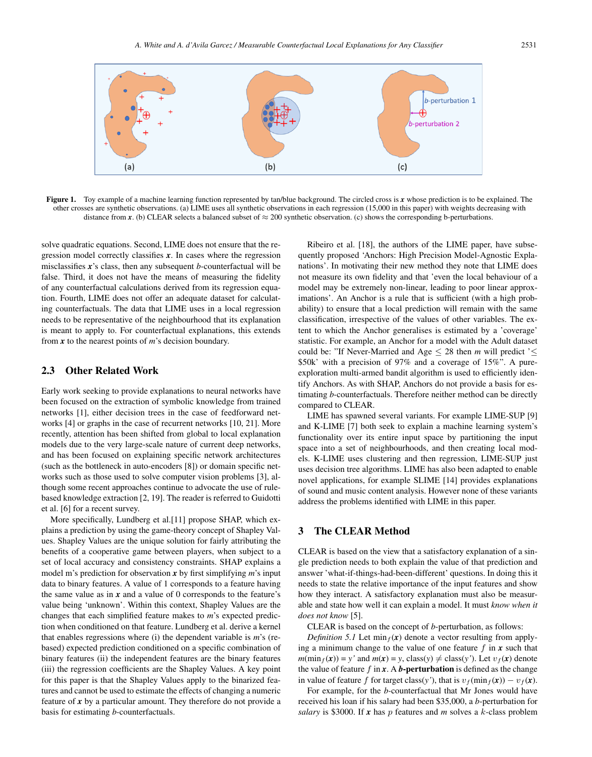

Figure 1. Toy example of a machine learning function represented by tan/blue background. The circled cross is *x* whose prediction is to be explained. The other crosses are synthetic observations. (a) LIME uses all synthetic observations in each regression (15,000 in this paper) with weights decreasing with distance from *x*. (b) CLEAR selects a balanced subset of  $\approx$  200 synthetic observation. (c) shows the corresponding b-perturbations.

solve quadratic equations. Second, LIME does not ensure that the regression model correctly classifies *x*. In cases where the regression misclassifies *x*'s class, then any subsequent *b*-counterfactual will be false. Third, it does not have the means of measuring the fidelity of any counterfactual calculations derived from its regression equation. Fourth, LIME does not offer an adequate dataset for calculating counterfactuals. The data that LIME uses in a local regression needs to be representative of the neighbourhood that its explanation is meant to apply to. For counterfactual explanations, this extends from *x* to the nearest points of *m*'s decision boundary.

#### 2.3 Other Related Work

Early work seeking to provide explanations to neural networks have been focused on the extraction of symbolic knowledge from trained networks [1], either decision trees in the case of feedforward networks [4] or graphs in the case of recurrent networks [10, 21]. More recently, attention has been shifted from global to local explanation models due to the very large-scale nature of current deep networks, and has been focused on explaining specific network architectures (such as the bottleneck in auto-encoders [8]) or domain specific networks such as those used to solve computer vision problems [3], although some recent approaches continue to advocate the use of rulebased knowledge extraction [2, 19]. The reader is referred to Guidotti et al. [6] for a recent survey.

More specifically, Lundberg et al.[11] propose SHAP, which explains a prediction by using the game-theory concept of Shapley Values. Shapley Values are the unique solution for fairly attributing the benefits of a cooperative game between players, when subject to a set of local accuracy and consistency constraints. SHAP explains a model m's prediction for observation *x* by first simplifying *m*'s input data to binary features. A value of 1 corresponds to a feature having the same value as in  $x$  and a value of 0 corresponds to the feature's value being 'unknown'. Within this context, Shapley Values are the changes that each simplified feature makes to *m*'s expected prediction when conditioned on that feature. Lundberg et al. derive a kernel that enables regressions where (i) the dependent variable is *m*'s (rebased) expected prediction conditioned on a specific combination of binary features (ii) the independent features are the binary features (iii) the regression coefficients are the Shapley Values. A key point for this paper is that the Shapley Values apply to the binarized features and cannot be used to estimate the effects of changing a numeric feature of *x* by a particular amount. They therefore do not provide a basis for estimating *b*-counterfactuals.

Ribeiro et al. [18], the authors of the LIME paper, have subsequently proposed 'Anchors: High Precision Model-Agnostic Explanations'. In motivating their new method they note that LIME does not measure its own fidelity and that 'even the local behaviour of a model may be extremely non-linear, leading to poor linear approximations'. An Anchor is a rule that is sufficient (with a high probability) to ensure that a local prediction will remain with the same classification, irrespective of the values of other variables. The extent to which the Anchor generalises is estimated by a 'coverage' statistic. For example, an Anchor for a model with the Adult dataset could be: "If Never-Married and Age  $\leq$  28 then *m* will predict ' $\leq$ \$50k' with a precision of 97% and a coverage of 15%". A pureexploration multi-armed bandit algorithm is used to efficiently identify Anchors. As with SHAP, Anchors do not provide a basis for estimating *b*-counterfactuals. Therefore neither method can be directly compared to CLEAR.

LIME has spawned several variants. For example LIME-SUP [9] and K-LIME [7] both seek to explain a machine learning system's functionality over its entire input space by partitioning the input space into a set of neighbourhoods, and then creating local models. K-LIME uses clustering and then regression, LIME-SUP just uses decision tree algorithms. LIME has also been adapted to enable novel applications, for example SLIME [14] provides explanations of sound and music content analysis. However none of these variants address the problems identified with LIME in this paper.

#### 3 The CLEAR Method

CLEAR is based on the view that a satisfactory explanation of a single prediction needs to both explain the value of that prediction and answer 'what-if-things-had-been-different' questions. In doing this it needs to state the relative importance of the input features and show how they interact. A satisfactory explanation must also be measurable and state how well it can explain a model. It must *know when it does not know* [5].

CLEAR is based on the concept of *b*-perturbation, as follows:

*Definition 5.1* Let min $_f(x)$  denote a vector resulting from applying a minimum change to the value of one feature  $f$  in  $x$  such that  $m(\min_f(\mathbf{x})) = y'$  and  $m(\mathbf{x}) = y$ , class(y)  $\neq$  class(y'). Let  $v_f(\mathbf{x})$  denote the value of feature  $f$  in  $x$ . A **b**-perturbation is defined as the change in value of feature f for target class(*y'*), that is  $v_f(\min_f(\mathbf{x})) - v_f(\mathbf{x})$ .

For example, for the *b-*counterfactual that Mr Jones would have received his loan if his salary had been \$35,000, a *b*-perturbation for *salary* is \$3000. If  $x$  has  $p$  features and  $m$  solves a  $k$ -class problem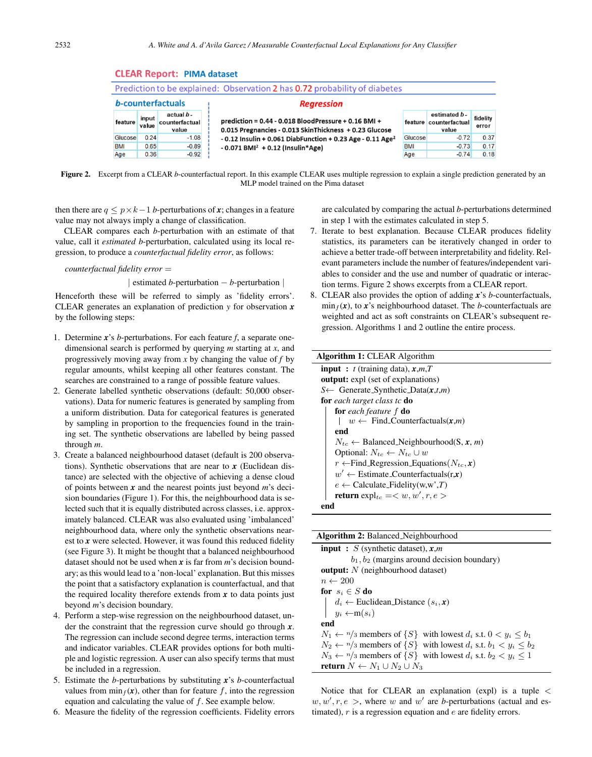| ___________________________________                                        |                |                                              |                                                                                                                |            |                                                 |                   |  |
|----------------------------------------------------------------------------|----------------|----------------------------------------------|----------------------------------------------------------------------------------------------------------------|------------|-------------------------------------------------|-------------------|--|
| Prediction to be explained: Observation 2 has 0.72 probability of diabetes |                |                                              |                                                                                                                |            |                                                 |                   |  |
| b-counterfactuals                                                          |                |                                              | <b>Regression</b>                                                                                              |            |                                                 |                   |  |
| feature                                                                    | input<br>value | actual <i>b</i> -<br>counterfactual<br>value | prediction = 0.44 - 0.018 BloodPressure + 0.16 BMI +<br>0.015 Pregnancies - 0.013 SkinThickness + 0.23 Glucose |            | estimated b-<br>feature counterfactual<br>value | fidelity<br>error |  |
| Glucose                                                                    | 0.24           | $-1.08$                                      | $-0.12$ Insulin + 0.061 DiabFunction + 0.23 Age - 0.11 Age <sup>2</sup>                                        | Glucose    | $-0.72$                                         | 0.37              |  |
| <b>BMI</b>                                                                 | 0.65           | $-0.89$                                      | $-0.071$ BMI <sup>2</sup> + 0.12 (Insulin*Age)                                                                 | <b>BMI</b> | $-0.73$                                         | 0.17              |  |
| Age                                                                        | 0.36           | $-0.92$                                      |                                                                                                                | Age        | $-0.74$                                         | 0.18              |  |

Figure 2. Excerpt from a CLEAR *b*-counterfactual report. In this example CLEAR uses multiple regression to explain a single prediction generated by an MLP model trained on the Pima dataset

then there are  $q \leq p \times k-1$  *b*-perturbations of *x*; changes in a feature value may not always imply a change of classification.

**CLEAR Report: PIMA dataset** 

CLEAR compares each *b*-perturbation with an estimate of that value, call it *estimated b*-perturbation, calculated using its local regression, to produce a *counterfactual fidelity error*, as follows:

*counterfactual fidelity error* =

| estimated *b*-perturbation − *b*-perturbation |

Henceforth these will be referred to simply as 'fidelity errors'. CLEAR generates an explanation of prediction *y* for observation *x* by the following steps:

- 1. Determine *x*'s *b*-perturbations. For each feature *f*, a separate onedimensional search is performed by querying *m* starting at *x*, and progressively moving away from  $x$  by changing the value of  $f$  by regular amounts, whilst keeping all other features constant. The searches are constrained to a range of possible feature values.
- 2. Generate labelled synthetic observations (default: 50,000 observations). Data for numeric features is generated by sampling from a uniform distribution. Data for categorical features is generated by sampling in proportion to the frequencies found in the training set. The synthetic observations are labelled by being passed through *m*.
- 3. Create a balanced neighbourhood dataset (default is 200 observations). Synthetic observations that are near to *x* (Euclidean distance) are selected with the objective of achieving a dense cloud of points between *x* and the nearest points just beyond *m*'s decision boundaries (Figure 1). For this, the neighbourhood data is selected such that it is equally distributed across classes, i.e. approximately balanced. CLEAR was also evaluated using 'imbalanced' neighbourhood data, where only the synthetic observations nearest to *x* were selected. However, it was found this reduced fidelity (see Figure 3). It might be thought that a balanced neighbourhood dataset should not be used when *x* is far from *m*'s decision boundary; as this would lead to a 'non-local' explanation. But this misses the point that a satisfactory explanation is counterfactual, and that the required locality therefore extends from *x* to data points just beyond *m*'s decision boundary.
- 4. Perform a step-wise regression on the neighbourhood dataset, under the constraint that the regression curve should go through *x*. The regression can include second degree terms, interaction terms and indicator variables. CLEAR provides options for both multiple and logistic regression. A user can also specify terms that must be included in a regression.
- 5. Estimate the *b*-perturbations by substituting *x*'s *b*-counterfactual values from  $\min_f$  (*x*), other than for feature f, into the regression equation and calculating the value of  $f$ . See example below.
- 6. Measure the fidelity of the regression coefficients. Fidelity errors

are calculated by comparing the actual *b*-perturbations determined in step 1 with the estimates calculated in step 5.

- 7. Iterate to best explanation. Because CLEAR produces fidelity statistics, its parameters can be iteratively changed in order to achieve a better trade-off between interpretability and fidelity. Relevant parameters include the number of features/independent variables to consider and the use and number of quadratic or interaction terms. Figure 2 shows excerpts from a CLEAR report.
- 8. CLEAR also provides the option of adding *x*'s *b*-counterfactuals,  $\min_f$ (x), to x's neighbourhood dataset. The *b*-counterfactuals are weighted and act as soft constraints on CLEAR's subsequent regression. Algorithms 1 and 2 outline the entire process.

| <b>Algorithm 1: CLEAR Algorithm</b>                       |  |  |  |  |
|-----------------------------------------------------------|--|--|--|--|
| <b>input</b> : $t$ (training data), $x,m,T$               |  |  |  |  |
| <b>output:</b> expl (set of explanations)                 |  |  |  |  |
| $S \leftarrow$ Generate_Synthetic_Data $(x,t,m)$          |  |  |  |  |
| <b>for</b> each target class to <b>do</b>                 |  |  |  |  |
| <b>for</b> each feature f <b>do</b>                       |  |  |  |  |
| $w \leftarrow$ Find_Counterfactuals $(x,m)$               |  |  |  |  |
| end                                                       |  |  |  |  |
| $N_{tc} \leftarrow$ Balanced_Neighbourhood(S, x, m)       |  |  |  |  |
| Optional: $N_{tc} \leftarrow N_{tc} \cup w$               |  |  |  |  |
| $r \leftarrow$ Find_Regression_Equations( $N_{tc}$ , x)   |  |  |  |  |
| $w' \leftarrow$ Estimate_Counterfactuals(r,x)             |  |  |  |  |
| $e \leftarrow$ Calculate_Fidelity(w,w',T)                 |  |  |  |  |
| <b>return</b> $\exp l_{tc} = \langle w, w', r, e \rangle$ |  |  |  |  |
| end                                                       |  |  |  |  |

| <b>Algorithm 2: Balanced_Neighbourhood</b>                                                                                      |  |  |  |  |
|---------------------------------------------------------------------------------------------------------------------------------|--|--|--|--|
| <b>input</b> : S (synthetic dataset), $x,m$                                                                                     |  |  |  |  |
| $b_1, b_2$ (margins around decision boundary)                                                                                   |  |  |  |  |
| <b>output:</b> $N$ (neighbourhood dataset)                                                                                      |  |  |  |  |
| $n \leftarrow 200$                                                                                                              |  |  |  |  |
| for $s_i \in S$ do                                                                                                              |  |  |  |  |
| $\begin{array}{ l} \n\mid & d_i \leftarrow \text{Euclidean\_Distance}(s_i, \textbf{x})\\ \ny_i \leftarrow m(s_i) \n\end{array}$ |  |  |  |  |
|                                                                                                                                 |  |  |  |  |
| end                                                                                                                             |  |  |  |  |
| $N_1 \leftarrow n/3$ members of $\{S\}$ with lowest $d_i$ s.t. $0 \lt y_i \le b_1$                                              |  |  |  |  |
| $N_2 \leftarrow n/3$ members of $\{S\}$ with lowest $d_i$ s.t. $b_1 < y_i \leq b_2$                                             |  |  |  |  |
| $N_3 \leftarrow n/3$ members of $\{S\}$ with lowest $d_i$ s.t. $b_2 < y_i \leq 1$                                               |  |  |  |  |
| <b>return</b> $N \leftarrow N_1 \cup N_2 \cup N_3$                                                                              |  |  |  |  |

Notice that for CLEAR an explanation (expl) is a tuple <  $w, w', r, e >$ , where w and w' are *b*-perturbations (actual and estimated),  $r$  is a regression equation and  $e$  are fidelity errors.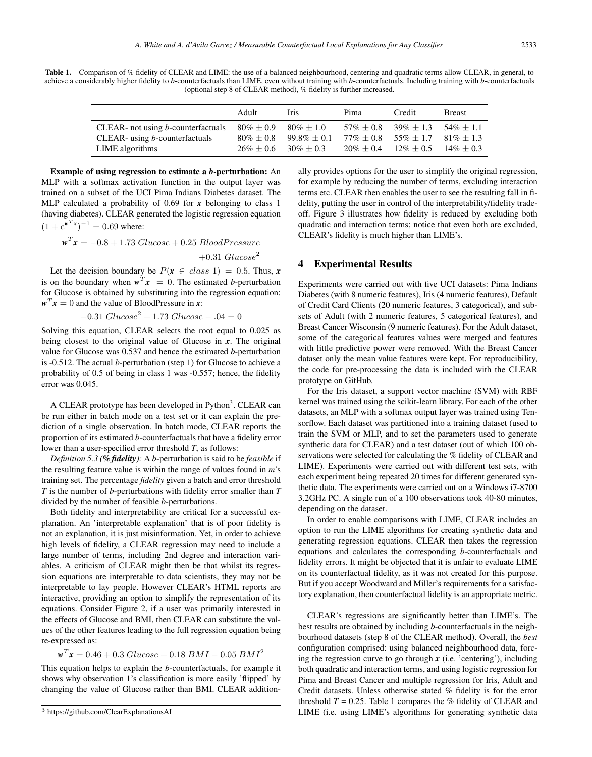Table 1. Comparison of % fidelity of CLEAR and LIME: the use of a balanced neighbourhood, centering and quadratic terms allow CLEAR, in general, to achieve a considerably higher fidelity to *b*-counterfactuals than LIME, even without training with *b*-counterfactuals. Including training with *b*-counterfactuals (optional step 8 of CLEAR method), % fidelity is further increased.

|                                       | Adult        | <b>Iris</b>    | Pima         | Credit                        | <b>Breast</b> |
|---------------------------------------|--------------|----------------|--------------|-------------------------------|---------------|
| CLEAR- not using $b$ -counterfactuals | $80\% + 0.9$ | $80\% + 1.0$   | $57\% + 0.8$ | $39\% \pm 1.3$ $54\% \pm 1.1$ |               |
| CLEAR- using $b$ -counterfactuals     | $80\% + 0.8$ | $99.8\% + 0.1$ |              | $77\% \pm 0.8$ 55% $\pm 1.7$  | $81\% + 1.3$  |
| LIME algorithms                       | $26\% + 0.6$ | $30\% + 0.3$   | $20\% + 0.4$ | $12\% + 0.5$                  | $14\% + 0.3$  |

Example of using regression to estimate a *b*-perturbation: An MLP with a softmax activation function in the output layer was trained on a subset of the UCI Pima Indians Diabetes dataset. The MLP calculated a probability of 0.69 for *x* belonging to class 1 (having diabetes). CLEAR generated the logistic regression equation  $(1 + e^{w^T x})^{-1} = 0.69$  where:

$$
\mathbf{w}^T \mathbf{x} = -0.8 + 1.73 \text{ Glucose} + 0.25 \text{ BloodPressure}
$$

$$
+0.31 \text{ Glucose}^2
$$

Let the decision boundary be  $P(x \in class 1) = 0.5$ . Thus, x is on the boundary when  $w^T x = 0$ . The estimated *b*-perturbation for Glucose is obtained by substituting into the regression equation:  $w^T x = 0$  and the value of BloodPressure in x:

$$
-0.31 Glucose2 + 1.73 Glucose - .04 = 0
$$

Solving this equation, CLEAR selects the root equal to 0.025 as being closest to the original value of Glucose in *x*. The original value for Glucose was 0.537 and hence the estimated *b*-perturbation is -0.512. The actual *b*-perturbation (step 1) for Glucose to achieve a probability of 0.5 of being in class 1 was -0.557; hence, the fidelity error was 0.045.

A CLEAR prototype has been developed in Python<sup>3</sup>. CLEAR can be run either in batch mode on a test set or it can explain the prediction of a single observation. In batch mode, CLEAR reports the proportion of its estimated *b*-counterfactuals that have a fidelity error lower than a user-specified error threshold *T*, as follows:

*Definition 5.3 (% fidelity):* A *b*-perturbation is said to be *feasible* if the resulting feature value is within the range of values found in *m*'s training set. The percentage *fidelity* given a batch and error threshold *T* is the number of *b*-perturbations with fidelity error smaller than *T* divided by the number of feasible *b*-perturbations.

Both fidelity and interpretability are critical for a successful explanation. An 'interpretable explanation' that is of poor fidelity is not an explanation, it is just misinformation. Yet, in order to achieve high levels of fidelity, a CLEAR regression may need to include a large number of terms, including 2nd degree and interaction variables. A criticism of CLEAR might then be that whilst its regression equations are interpretable to data scientists, they may not be interpretable to lay people. However CLEAR's HTML reports are interactive, providing an option to simplify the representation of its equations. Consider Figure 2, if a user was primarily interested in the effects of Glucose and BMI, then CLEAR can substitute the values of the other features leading to the full regression equation being re-expressed as:

$$
\mathbf{w}^T \mathbf{x} = 0.46 + 0.3 \; Glucose + 0.18 \; BMI - 0.05 \; BMI^2
$$

This equation helps to explain the *b*-counterfactuals, for example it shows why observation 1's classification is more easily 'flipped' by changing the value of Glucose rather than BMI. CLEAR additionally provides options for the user to simplify the original regression, for example by reducing the number of terms, excluding interaction terms etc. CLEAR then enables the user to see the resulting fall in fidelity, putting the user in control of the interpretability/fidelity tradeoff. Figure 3 illustrates how fidelity is reduced by excluding both quadratic and interaction terms; notice that even both are excluded, CLEAR's fidelity is much higher than LIME's.

#### **Experimental Results**

Experiments were carried out with five UCI datasets: Pima Indians Diabetes (with 8 numeric features), Iris (4 numeric features), Default of Credit Card Clients (20 numeric features, 3 categorical), and subsets of Adult (with 2 numeric features, 5 categorical features), and Breast Cancer Wisconsin (9 numeric features). For the Adult dataset, some of the categorical features values were merged and features with little predictive power were removed. With the Breast Cancer dataset only the mean value features were kept. For reproducibility, the code for pre-processing the data is included with the CLEAR prototype on GitHub.

For the Iris dataset, a support vector machine (SVM) with RBF kernel was trained using the scikit-learn library. For each of the other datasets, an MLP with a softmax output layer was trained using Tensorflow. Each dataset was partitioned into a training dataset (used to train the SVM or MLP, and to set the parameters used to generate synthetic data for CLEAR) and a test dataset (out of which 100 observations were selected for calculating the % fidelity of CLEAR and LIME). Experiments were carried out with different test sets, with each experiment being repeated 20 times for different generated synthetic data. The experiments were carried out on a Windows i7-8700 3.2GHz PC. A single run of a 100 observations took 40-80 minutes, depending on the dataset.

In order to enable comparisons with LIME, CLEAR includes an option to run the LIME algorithms for creating synthetic data and generating regression equations. CLEAR then takes the regression equations and calculates the corresponding *b*-counterfactuals and fidelity errors. It might be objected that it is unfair to evaluate LIME on its counterfactual fidelity, as it was not created for this purpose. But if you accept Woodward and Miller's requirements for a satisfactory explanation, then counterfactual fidelity is an appropriate metric.

CLEAR's regressions are significantly better than LIME's. The best results are obtained by including *b*-counterfactuals in the neighbourhood datasets (step 8 of the CLEAR method). Overall, the *best* configuration comprised: using balanced neighbourhood data, forcing the regression curve to go through *x* (i.e. 'centering'), including both quadratic and interaction terms, and using logistic regression for Pima and Breast Cancer and multiple regression for Iris, Adult and Credit datasets. Unless otherwise stated % fidelity is for the error threshold  $T = 0.25$ . Table 1 compares the % fidelity of CLEAR and LIME (i.e. using LIME's algorithms for generating synthetic data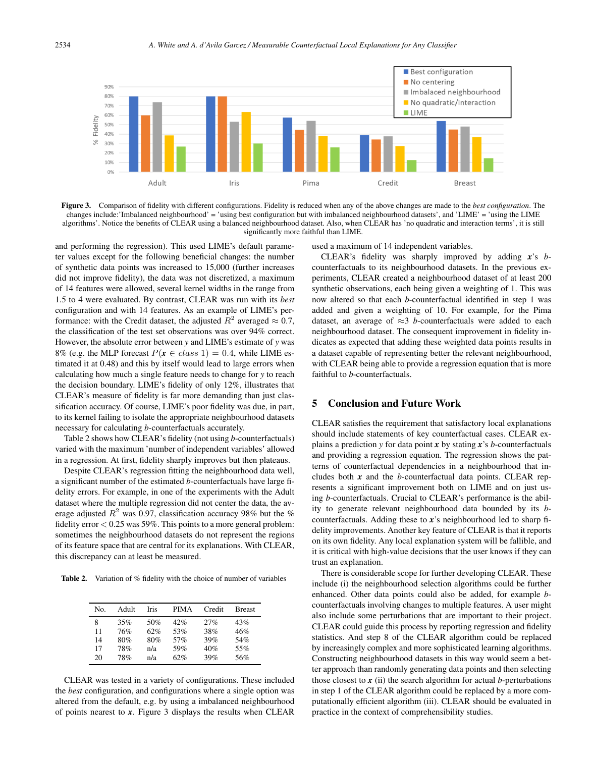

Figure 3. Comparison of fidelity with different configurations. Fidelity is reduced when any of the above changes are made to the *best configuration*. The changes include:'Imbalanced neighbourhood' = 'using best configuration but with imbalanced neighbourhood datasets', and 'LIME' = 'using the LIME algorithms'. Notice the benefits of CLEAR using a balanced neighbourhood dataset. Also, when CLEAR has 'no quadratic and interaction terms', it is still significantly more faithful than LIME.

and performing the regression). This used LIME's default parameter values except for the following beneficial changes: the number of synthetic data points was increased to 15,000 (further increases did not improve fidelity), the data was not discretized, a maximum of 14 features were allowed, several kernel widths in the range from 1.5 to 4 were evaluated. By contrast, CLEAR was run with its *best* configuration and with 14 features. As an example of LIME's performance: with the Credit dataset, the adjusted  $R^2$  averaged  $\approx 0.7$ , the classification of the test set observations was over 94% correct. However, the absolute error between *y* and LIME's estimate of *y* was 8% (e.g. the MLP forecast  $P(x \in class 1) = 0.4$ , while LIME estimated it at 0.48) and this by itself would lead to large errors when calculating how much a single feature needs to change for *y* to reach the decision boundary. LIME's fidelity of only 12%, illustrates that CLEAR's measure of fidelity is far more demanding than just classification accuracy. Of course, LIME's poor fidelity was due, in part, to its kernel failing to isolate the appropriate neighbourhood datasets necessary for calculating *b*-counterfactuals accurately.

Table 2 shows how CLEAR's fidelity (not using *b*-counterfactuals) varied with the maximum 'number of independent variables' allowed in a regression. At first, fidelity sharply improves but then plateaus.

Despite CLEAR's regression fitting the neighbourhood data well, a significant number of the estimated *b*-counterfactuals have large fidelity errors. For example, in one of the experiments with the Adult dataset where the multiple regression did not center the data, the average adjusted  $R^2$  was 0.97, classification accuracy 98% but the % fidelity error  $< 0.25$  was 59%. This points to a more general problem: sometimes the neighbourhood datasets do not represent the regions of its feature space that are central for its explanations. With CLEAR, this discrepancy can at least be measured.

Table 2. Variation of % fidelity with the choice of number of variables

| No. | Adult | Iris | <b>PIMA</b> | Credit | <b>Breast</b> |
|-----|-------|------|-------------|--------|---------------|
| 8   | 35%   | 50%  | 42%         | 27%    | 43%           |
| 11  | 76%   | 62%  | 53%         | 38%    | 46%           |
| 14  | 80%   | 80%  | 57%         | 39%    | 54%           |
| 17  | 78%   | n/a  | 59%         | 40%    | 55%           |
| 20  | 78%   | n/a  | 62%         | 39%    | 56%           |
|     |       |      |             |        |               |

CLEAR was tested in a variety of configurations. These included the *best* configuration, and configurations where a single option was altered from the default, e.g. by using a imbalanced neighbourhood of points nearest to *x*. Figure 3 displays the results when CLEAR

used a maximum of 14 independent variables.

CLEAR's fidelity was sharply improved by adding *x*'s *b*counterfactuals to its neighbourhood datasets. In the previous experiments, CLEAR created a neighbourhood dataset of at least 200 synthetic observations, each being given a weighting of 1. This was now altered so that each *b*-counterfactual identified in step 1 was added and given a weighting of 10. For example, for the Pima dataset, an average of  $\approx$ 3 *b*-counterfactuals were added to each neighbourhood dataset. The consequent improvement in fidelity indicates as expected that adding these weighted data points results in a dataset capable of representing better the relevant neighbourhood, with CLEAR being able to provide a regression equation that is more faithful to *b*-counterfactuals.

#### 5 Conclusion and Future Work

CLEAR satisfies the requirement that satisfactory local explanations should include statements of key counterfactual cases. CLEAR explains a prediction *y* for data point *x* by stating *x*'s *b*-counterfactuals and providing a regression equation. The regression shows the patterns of counterfactual dependencies in a neighbourhood that includes both *x* and the *b*-counterfactual data points. CLEAR represents a significant improvement both on LIME and on just using *b*-counterfactuals. Crucial to CLEAR's performance is the ability to generate relevant neighbourhood data bounded by its *b*counterfactuals. Adding these to *x*'s neighbourhood led to sharp fidelity improvements. Another key feature of CLEAR is that it reports on its own fidelity. Any local explanation system will be fallible, and it is critical with high-value decisions that the user knows if they can trust an explanation.

There is considerable scope for further developing CLEAR. These include (i) the neighbourhood selection algorithms could be further enhanced. Other data points could also be added, for example *b*counterfactuals involving changes to multiple features. A user might also include some perturbations that are important to their project. CLEAR could guide this process by reporting regression and fidelity statistics. And step 8 of the CLEAR algorithm could be replaced by increasingly complex and more sophisticated learning algorithms. Constructing neighbourhood datasets in this way would seem a better approach than randomly generating data points and then selecting those closest to  $\boldsymbol{x}$  (ii) the search algorithm for actual *b*-perturbations in step 1 of the CLEAR algorithm could be replaced by a more computationally efficient algorithm (iii). CLEAR should be evaluated in practice in the context of comprehensibility studies.